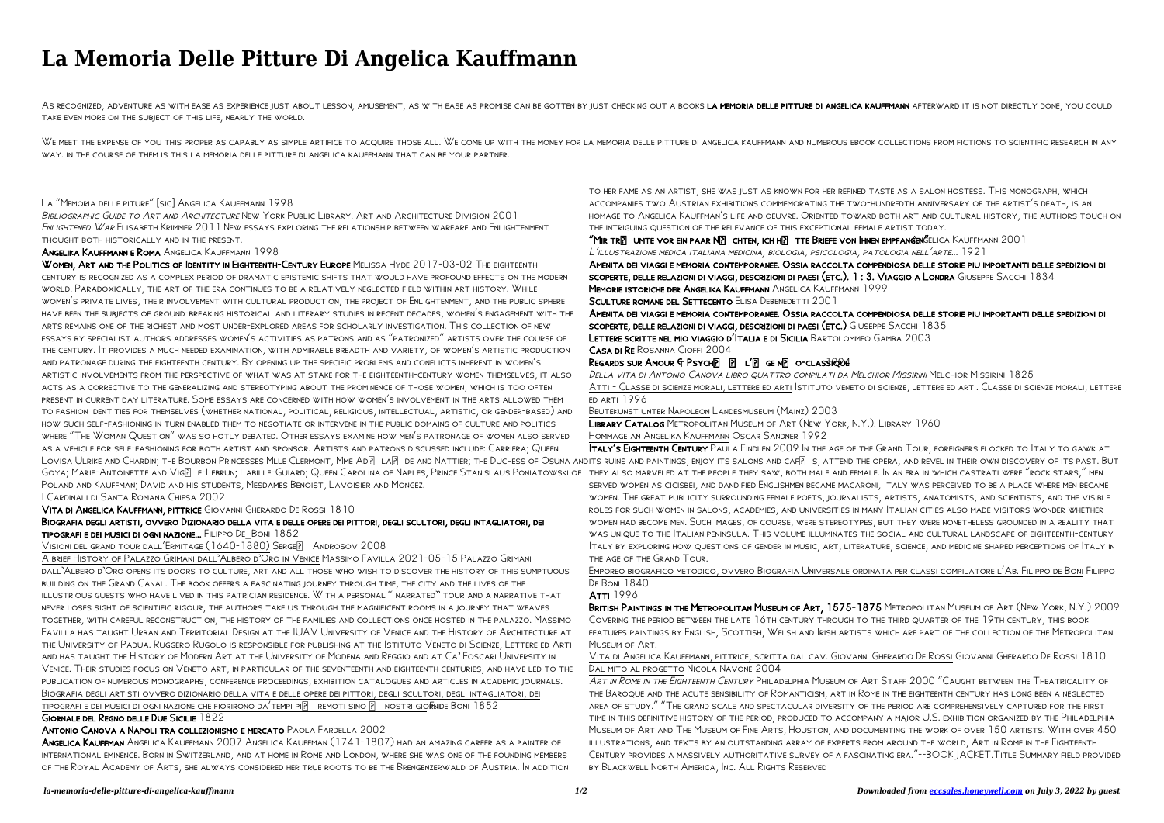### *la-memoria-delle-pitture-di-angelica-kauffmann 1/2 Downloaded from [eccsales.honeywell.com](https://eccsales.honeywell.com) on July 3, 2022 by guest*

# **La Memoria Delle Pitture Di Angelica Kauffmann**

AS RECOGNIZED, ADVENTURE AS WITH EASE AS EXPERIENCE IUST ABOUT LESSON, AMUSEMENT, AS WITH EASE AS PROMISE CAN BE GOTTEN BY IUST CHECKING OUT A BOOKS LA MEMORIA DELLE PITTURE DI ANGELICA KAUFFMANN AFTERWARD IT IS NOT DIRECT take even more on the subject of this life, nearly the world.

WE MEET THE EXPENSE OF YOU THIS PROPER AS CAPABLY AS SIMPLE ARTIFICE TO ACQUIRE THOSE ALL. WE COME UP WITH THE MONEY FOR LA MEMORIA DELLE PITTURE DI ANGELICA KAUFFMANN AND NUMEROUS EBOOK COLLECTIONS FROM FICTIONS TO SCIENT way. in the course of them is this la memoria delle pitture di angelica kauffmann that can be your partner.

BIBLIOGRAPHIC GUIDE TO ART AND ARCHITECTURE NEW YORK PUBLIC LIBRARY. ART AND ARCHITECTURE DIVISION 2001 Enlightened War Elisabeth Krimmer 2011 New essays exploring the relationship between warfare and Enlightenment thought both historically and in the present.

### La "Memoria delle piture" [sic] Angelica Kauffmann 1998

Angelika Kauffmann e Roma Angelica Kauffmann 1998

WOMEN, ART AND THE POLITICS OF IDENTITY IN EIGHTEENTH-CENTURY EUROPE MELISSA HYDE 2017-03-02 THE EIGHTEENTH century is recognized as a complex period of dramatic epistemic shifts that would have profound effects on the modern world. Paradoxically, the art of the era continues to be a relatively neglected field within art history. While women's private lives, their involvement with cultural production, the project of Enlightenment, and the public sphere have been the subjects of ground-breaking historical and literary studies in recent decades, women's engagement with the arts remains one of the richest and most under-explored areas for scholarly investigation. This collection of new essays by specialist authors addresses women's activities as patrons and as "patronized" artists over the course of the century. It provides a much needed examination, with admirable breadth and variety, of women's artistic production and patronage during the eighteenth century. By opening up the specific problems and conflicts inherent in women's artistic involvements from the perspective of what was at stake for the eighteenth-century women themselves, it also acts as a corrective to the generalizing and stereotyping about the prominence of those women, which is too often present in current day literature. Some essays are concerned with how women's involvement in the arts allowed them to fashion identities for themselves (whether national, political, religious, intellectual, artistic, or gender-based) and how such self-fashioning in turn enabled them to negotiate or intervene in the public domains of culture and politics where "The Woman Question" was so hotly debated. Other essays examine how men's patronage of women also served as a vehicle for self-fashioning for both artist and sponsor. Artists and patrons discussed include: Carriera; Queen LOVISA ULRIKE AND CHARDIN; THE BOURBON PRINCESSES MLLE CLERMONT, MME ADE LAE DE AND NATTIER; THE DUCHESS OF OSUNA ANDITS RUINS AND PAINTINGS, ENJOY ITS SALONS AND CAFE S, ATTEND THE OPERA, AND REVEL IN THEIR OWN DISCOVERY Goya; Marie-Antoinette and Vig? e-Lebrun; Labille-Guiard; Queen Carolina of Naples, Prince Stanislaus Poniatowski of they also marveled at the people they saw, both male and female. In an era in which castrati were "rock s Poland and Kauffman; David and his students, Mesdames Benoist, Lavoisier and Mongez. I Cardinali di Santa Romana Chiesa 2002

A brief History of Palazzo Grimani dall'Albero d'Oro in Venice Massimo Favilla 2021-05-15 Palazzo Grimani dall'Albero d'Oro opens its doors to culture, art and all those who wish to discover the history of this sumptuous building on the Grand Canal. The book offers a fascinating journey through time, the city and the lives of the illustrious guests who have lived in this patrician residence. With a personal " narrated" tour and a narrative that never loses sight of scientific rigour, the authors take us through the magnificent rooms in a journey that weaves together, with careful reconstruction, the history of the families and collections once hosted in the palazzo. Massimo Favilla has taught Urban and Territorial Design at the IUAV University of Venice and the History of Architecture at the University of Padua. Ruggero Rugolo is responsible for publishing at the Istituto Veneto di Scienze, Lettere ed Arti and has taught the History of Modern Art at the University of Modena and Reggio and at Ca' Foscari University in Venice. Their studies focus on Veneto art, in particular of the seventeenth and eighteenth centuries, and have led to the publication of numerous monographs, conference proceedings, exhibition catalogues and articles in academic journals. Biografia degli artisti ovvero dizionario della vita e delle opere dei pittori, degli scultori, degli intagliatori, dei tipografi e dei musici di ogni nazione che fiorirono da'tempi pi $\lvert \bar{r} \rvert$  remoti sino  $\lvert \bar{r} \rvert$  nostri giornde Boni 1852

Memorie istoriche der Angelika Kauffmann Angelica Kauffmann 1999 SCULTURE ROMANE DEL SETTECENTO ELISA DEBENEDETTI 2001

Vita di Angelica Kauffmann, pittrice Giovanni Gherardo De Rossi 1810

Biografia degli artisti, ovvero Dizionario della vita e delle opere dei pittori, degli scultori, degli intagliatori, dei tipografi e dei musici di ogni nazione... Filippo De\_Boni 1852

VISIONI DEL GRAND TOUR DALL'ERMITAGE (1640-1880) SERGE<sup>[2]</sup> ANDROSOV 2008

 $R$ EGARDS SUR AMOUR  $f$  Psych $\lbrack 1\rbrack$   $\lbrack 2\rbrack$  L $\lbrack 2\rbrack$  GE N $\lbrack 3\rbrack$  O-CLASSIQ RUE Della vita di Antonio Canova libro quattro compilati da Melchior Missirini Melchior Missirini 1825 Atti - Classe di scienze morali, lettere ed arti Istituto veneto di scienze, lettere ed arti. Classe di scienze morali, lettere ed arti 1996

Emporeo biografico metodico, ovvero Biografia Universale ordinata per classi compilatore l'Ab. Filippo de Boni Filippo **DE BONI 1840** 

### ATTI 1996

## Giornale del Regno delle Due Sicilie 1822

Antonio Canova a Napoli tra collezionismo e mercato Paola Fardella 2002

Angelica Kauffman Angelica Kauffmann 2007 Angelica Kauffman (1741-1807) had an amazing career as a painter of international eminence. Born in Switzerland, and at home in Rome and London, where she was one of the founding members of the Royal Academy of Arts, she always considered her true roots to be the Brengenzerwald of Austria. In addition

to her fame as an artist, she was just as known for her refined taste as a salon hostess. This monograph, which accompanies two Austrian exhibitions commemorating the two-hundredth anniversary of the artist's death, is an homage to Angelica Kauffman's life and oeuvre. Oriented toward both art and cultural history, the authors touch on the intriguing question of the relevance of this exceptional female artist today. "MIR TRE UMTE VOR EIN PAAR NE CHTEN, ICH HE TTE BRIEFE VON IHNEN EMPFANGEN SELICA KAUFFMANN 2001 <sup>L</sup>'illustrazione medica italiana medicina, biologia, psicologia, patologia nell'arte... 1921 Amenita dei viaggi e memoria contemporanee. Ossia raccolta compendiosa delle storie piu importanti delle spedizioni di scoperte, delle relazioni di viaggi, descrizioni di paesi (etc.). 1 : 3. Viaggio a Londra Giuseppe Sacchi 1834

Amenita dei viaggi e memoria contemporanee. Ossia raccolta compendiosa delle storie piu importanti delle spedizioni di scoperte, delle relazioni di viaggi, descrizioni di paesi (etc.) Giuseppe Sacchi 1835 Lettere scritte nel mio viaggio d'Italia e di Sicilia Bartolommeo Gamba 2003 Casa di Re Rosanna Cioffi 2004

Beutekunst unter Napoleon Landesmuseum (Mainz) 2003 Library Catalog Metropolitan Museum of Art (New York, N.Y.). Library 1960 Hommage an Angelika Kauffmann Oscar Sandner 1992

Italy's Eighteenth Century Paula Findlen 2009 In the age of the Grand Tour, foreigners flocked to Italy to gawk at served women as cicisbei, and dandified Englishmen became macaroni, Italy was perceived to be a place where men became women. The great publicity surrounding female poets, journalists, artists, anatomists, and scientists, and the visible roles for such women in salons, academies, and universities in many Italian cities also made visitors wonder whether women had become men. Such images, of course, were stereotypes, but they were nonetheless grounded in a reality that was unique to the Italian peninsula. This volume illuminates the social and cultural landscape of eighteenth-century Italy by exploring how questions of gender in music, art, literature, science, and medicine shaped perceptions of Italy in

the age of the Grand Tour.

British Paintings in the Metropolitan Museum of Art, 1575-1875 Metropolitan Museum of Art (New York, N.Y.) 2009 Covering the period between the late 16th century through to the third quarter of the 19th century, this book features paintings by English, Scottish, Welsh and Irish artists which are part of the collection of the Metropolitan

Museum of Art.

Vita di Angelica Kauffmann, pittrice, scritta dal cav. Giovanni Gherardo De Rossi Giovanni Gherardo De Rossi 1810 Dal mito al progetto Nicola Navone 2004

Art in Rome in the Eighteenth Century Philadelphia Museum of Art Staff 2000 "Caught between the Theatricality of the Baroque and the acute sensibility of Romanticism, art in Rome in the eighteenth century has long been a neglected area of study." "The grand scale and spectacular diversity of the period are comprehensively captured for the first time in this definitive history of the period, produced to accompany a major U.S. exhibition organized by the Philadelphia Museum of Art and The Museum of Fine Arts, Houston, and documenting the work of over 150 artists. With over 450 illustrations, and texts by an outstanding array of experts from around the world, Art in Rome in the Eighteenth Century provides a massively authoritative survey of a fascinating era."--BOOK JACKET.Title Summary field provided by Blackwell North America, Inc. All Rights Reserved